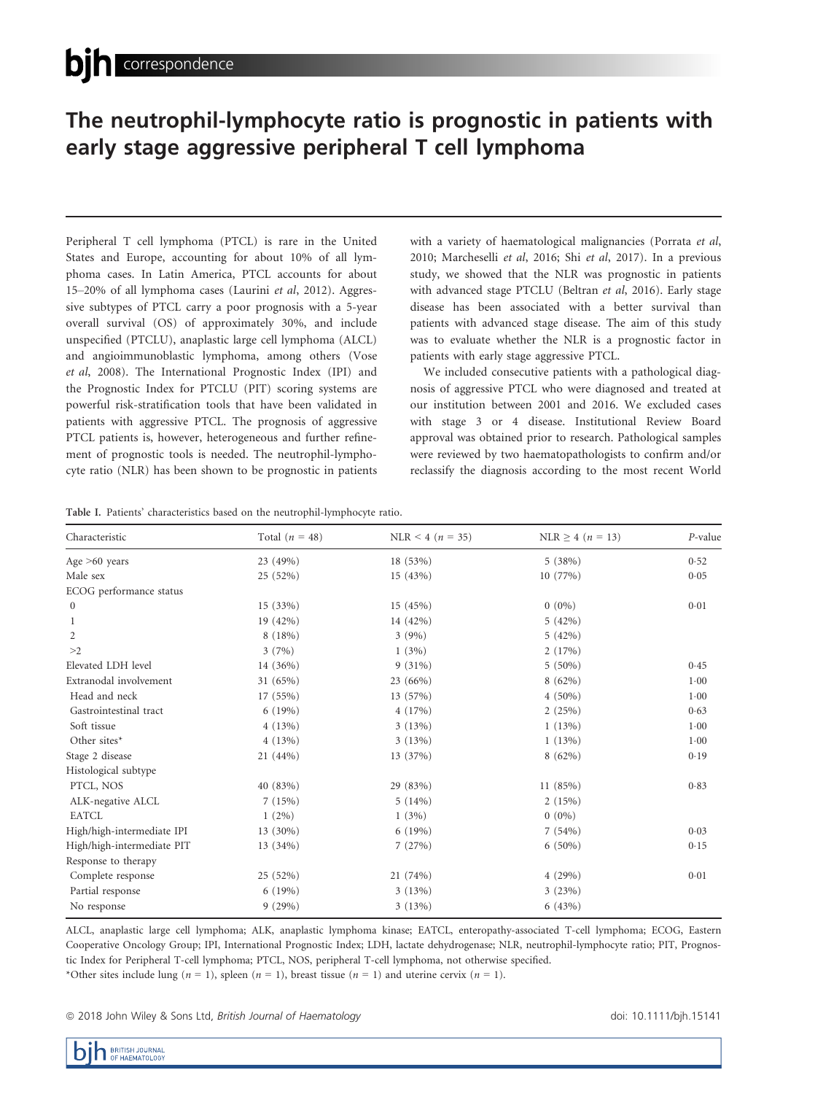## The neutrophil-lymphocyte ratio is prognostic in patients with early stage aggressive peripheral T cell lymphoma early stage aggressive peripheral T cell lymphoma

Peripheral T cell lymphoma (PTCL) is rare in the United States and Europe, accounting for about 10% of all lymphoma cases. In Latin America, PTCL accounts for about 15–20% of all lymphoma cases (Laurini et al, 2012). Aggressive subtypes of PTCL carry a poor prognosis with a 5-year overall survival (OS) of approximately 30%, and include unspecified (PTCLU), anaplastic large cell lymphoma (ALCL) and angioimmunoblastic lymphoma, among others (Vose et al, 2008). The International Prognostic Index (IPI) and the Prognostic Index for PTCLU (PIT) scoring systems are powerful risk-stratification tools that have been validated in patients with aggressive PTCL. The prognosis of aggressive PTCL patients is, however, heterogeneous and further refinement of prognostic tools is needed. The neutrophil-lymphocyte ratio (NLR) has been shown to be prognostic in patients with a variety of haematological malignancies (Porrata et al, 2010; Marcheselli et al, 2016; Shi et al, 2017). In a previous study, we showed that the NLR was prognostic in patients with advanced stage PTCLU (Beltran et al, 2016). Early stage disease has been associated with a better survival than patients with advanced stage disease. The aim of this study was to evaluate whether the NLR is a prognostic factor in patients with early stage aggressive PTCL.

We included consecutive patients with a pathological diagnosis of aggressive PTCL who were diagnosed and treated at our institution between 2001 and 2016. We excluded cases with stage 3 or 4 disease. Institutional Review Board approval was obtained prior to research. Pathological samples were reviewed by two haematopathologists to confirm and/or reclassify the diagnosis according to the most recent World

Table I. Patients' characteristics based on the neutrophil-lymphocyte ratio.

| Characteristic             | Total $(n = 48)$ | NLR < 4 ( $n = 35$ ) | $NLR \ge 4$ ( <i>n</i> = 13) | P-value  |
|----------------------------|------------------|----------------------|------------------------------|----------|
| Age $>60$ years            | 23 (49%)         | 18 (53%)             | 5(38%)                       | 0.52     |
| Male sex                   | 25 (52%)         | 15 (43%)             | 10(77%)                      | 0.05     |
| ECOG performance status    |                  |                      |                              |          |
| $\boldsymbol{0}$           | 15 (33%)         | 15(45%)              | $0(0\%)$                     | 0.01     |
| 1                          | 19 (42%)         | 14 (42%)             | 5(42%)                       |          |
| 2                          | 8(18%)           | 3(9%)                | 5(42%)                       |          |
| >2                         | 3(7%)            | 1(3%)                | 2(17%)                       |          |
| Elevated LDH level         | 14 (36%)         | 9(31%)               | $5(50\%)$                    | 0.45     |
| Extranodal involvement     | 31 (65%)         | $23(66\%)$           | 8(62%)                       | 1.00     |
| Head and neck              | 17 (55%)         | 13 (57%)             | $4(50\%)$                    | 1.00     |
| Gastrointestinal tract     | 6(19%)           | 4(17%)               | 2(25%)                       | 0.63     |
| Soft tissue                | 4(13%)           | 3(13%)               | 1(13%)                       | $1 - 00$ |
| Other sites*               | 4(13%)           | 3(13%)               | 1(13%)                       | 1.00     |
| Stage 2 disease            | 21 (44%)         | 13 (37%)             | $8(62\%)$                    | 0.19     |
| Histological subtype       |                  |                      |                              |          |
| PTCL, NOS                  | 40 (83%)         | 29 (83%)             | 11(85%)                      | 0.83     |
| ALK-negative ALCL          | 7(15%)           | 5(14%)               | 2(15%)                       |          |
| <b>EATCL</b>               | $1(2\%)$         | 1(3%)                | $0(0\%)$                     |          |
| High/high-intermediate IPI | 13 (30%)         | 6(19%)               | 7(54%)                       | 0.03     |
| High/high-intermediate PIT | 13 (34%)         | 7(27%)               | $6(50\%)$                    | 0.15     |
| Response to therapy        |                  |                      |                              |          |
| Complete response          | 25 (52%)         | 21 (74%)             | 4(29%)                       | 0.01     |
| Partial response           | 6(19%)           | 3(13%)               | 3(23%)                       |          |
| No response                | 9(29%)           | 3(13%)               | 6(43%)                       |          |

ALCL, anaplastic large cell lymphoma; ALK, anaplastic lymphoma kinase; EATCL, enteropathy-associated T-cell lymphoma; ECOG, Eastern Cooperative Oncology Group; IPI, International Prognostic Index; LDH, lactate dehydrogenase; NLR, neutrophil-lymphocyte ratio; PIT, Prognostic Index for Peripheral T-cell lymphoma; PTCL, NOS, peripheral T-cell lymphoma, not otherwise specified. \*Other sites include lung ( $n = 1$ ), spleen ( $n = 1$ ), breast tissue ( $n = 1$ ) and uterine cervix ( $n = 1$ ).

<sup>ª</sup> 2018 John Wiley & Sons Ltd, British Journal of Haematology doi: 10.1111/bjh.15141

**DERITISH JOURNAL**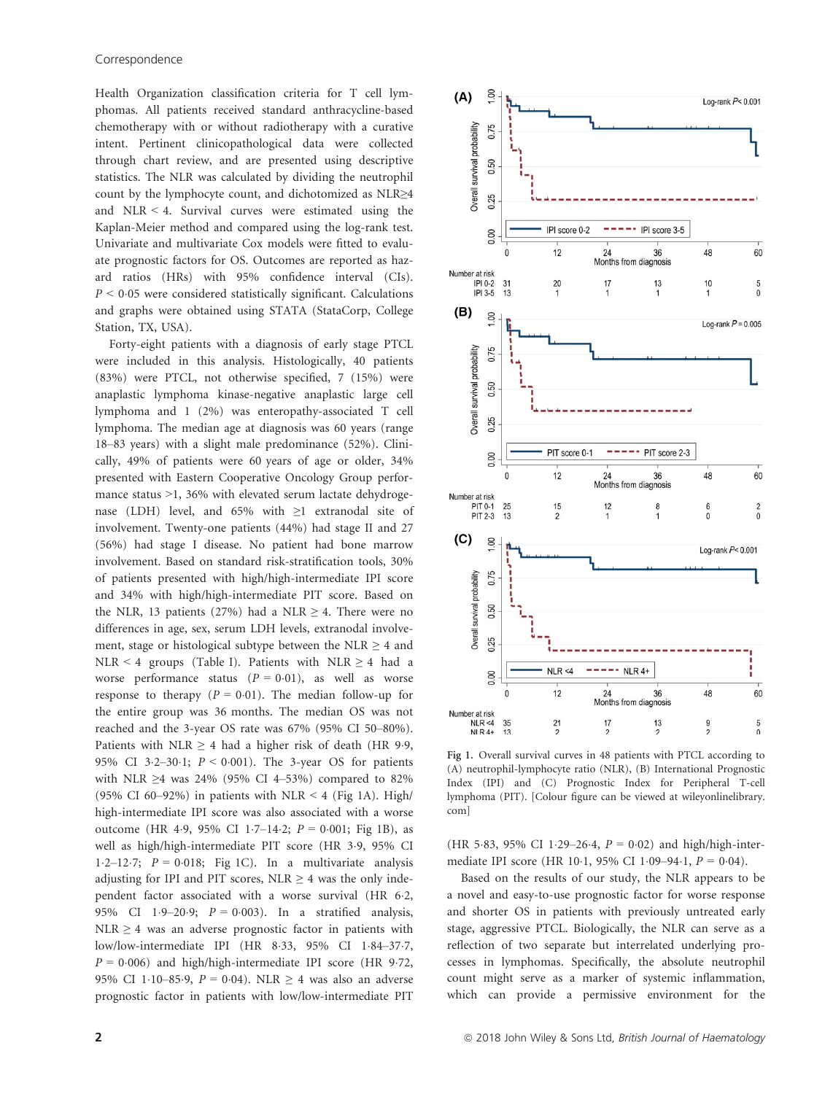Health Organization classification criteria for T cell lymphomas. All patients received standard anthracycline-based chemotherapy with or without radiotherapy with a curative intent. Pertinent clinicopathological data were collected through chart review, and are presented using descriptive statistics. The NLR was calculated by dividing the neutrophil count by the lymphocyte count, and dichotomized as NLR≥4 and NLR < 4. Survival curves were estimated using the Kaplan-Meier method and compared using the log-rank test. Univariate and multivariate Cox models were fitted to evaluate prognostic factors for OS. Outcomes are reported as hazard ratios (HRs) with 95% confidence interval (CIs).  $P < 0.05$  were considered statistically significant. Calculations and graphs were obtained using STATA (StataCorp, College Station, TX, USA).

Forty-eight patients with a diagnosis of early stage PTCL were included in this analysis. Histologically, 40 patients (83%) were PTCL, not otherwise specified, 7 (15%) were anaplastic lymphoma kinase-negative anaplastic large cell lymphoma and 1 (2%) was enteropathy-associated T cell lymphoma. The median age at diagnosis was 60 years (range 18–83 years) with a slight male predominance (52%). Clinically, 49% of patients were 60 years of age or older, 34% presented with Eastern Cooperative Oncology Group performance status >1, 36% with elevated serum lactate dehydrogenase (LDH) level, and 65% with ≥1 extranodal site of involvement. Twenty-one patients (44%) had stage II and 27 (56%) had stage I disease. No patient had bone marrow involvement. Based on standard risk-stratification tools, 30% of patients presented with high/high-intermediate IPI score and 34% with high/high-intermediate PIT score. Based on the NLR, 13 patients (27%) had a NLR  $\geq$  4. There were no differences in age, sex, serum LDH levels, extranodal involvement, stage or histological subtype between the NLR  $\geq$  4 and NLR < 4 groups (Table I). Patients with NLR  $\geq$  4 had a worse performance status ( $P = 0.01$ ), as well as worse response to therapy  $(P = 0.01)$ . The median follow-up for the entire group was 36 months. The median OS was not reached and the 3-year OS rate was 67% (95% CI 50–80%). Patients with NLR  $\geq$  4 had a higher risk of death (HR 9.9, 95% CI 3.2-30.1;  $P < 0.001$ ). The 3-year OS for patients with NLR ≥4 was 24% (95% CI 4–53%) compared to 82% (95% CI 60–92%) in patients with NLR  $\leq$  4 (Fig 1A). High/ high-intermediate IPI score was also associated with a worse outcome (HR 4.9, 95% CI 1.7–14.2;  $P = 0.001$ ; Fig 1B), as well as high/high-intermediate PIT score (HR 3.9, 95% CI 1.2-12.7;  $P = 0.018$ ; Fig 1C). In a multivariate analysis adjusting for IPI and PIT scores, NLR  $\geq$  4 was the only independent factor associated with a worse survival (HR 6.2, 95% CI 1.9-20.9;  $P = 0.003$ ). In a stratified analysis, NLR  $\geq$  4 was an adverse prognostic factor in patients with low/low-intermediate IPI (HR 8-33, 95% CI 1-84-37-7,  $P = 0.006$ ) and high/high-intermediate IPI score (HR 9.72, 95% CI 1.10–85.9,  $P = 0.04$ ). NLR  $\geq 4$  was also an adverse prognostic factor in patients with low/low-intermediate PIT



Fig 1. Overall survival curves in 48 patients with PTCL according to (A) neutrophil-lymphocyte ratio (NLR), (B) International Prognostic Index (IPI) and (C) Prognostic Index for Peripheral T-cell lymphoma (PIT). [Colour figure can be viewed at wileyonlinelibrary. com]

(HR 5.83, 95% CI 1.29–26.4,  $P = 0.02$ ) and high/high-intermediate IPI score (HR 10.1, 95% CI 1.09-94.1,  $P = 0.04$ ).

Based on the results of our study, the NLR appears to be a novel and easy-to-use prognostic factor for worse response and shorter OS in patients with previously untreated early stage, aggressive PTCL. Biologically, the NLR can serve as a reflection of two separate but interrelated underlying processes in lymphomas. Specifically, the absolute neutrophil count might serve as a marker of systemic inflammation, which can provide a permissive environment for the